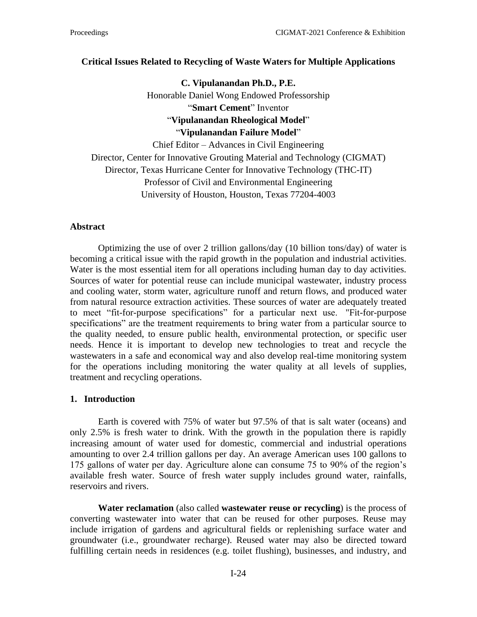### **Critical Issues Related to Recycling of Waste Waters for Multiple Applications**

**C. Vipulanandan Ph.D., P.E.** Honorable Daniel Wong Endowed Professorship "**Smart Cement**" Inventor "**Vipulanandan Rheological Model**" "**Vipulanandan Failure Model**" Chief Editor – Advances in Civil Engineering Director, Center for Innovative Grouting Material and Technology (CIGMAT) Director, Texas Hurricane Center for Innovative Technology (THC-IT)

Professor of Civil and Environmental Engineering University of Houston, Houston, Texas 77204-4003

#### **Abstract**

Optimizing the use of over 2 trillion gallons/day (10 billion tons/day) of water is becoming a critical issue with the rapid growth in the population and industrial activities. Water is the most essential item for all operations including human day to day activities. Sources of water for potential reuse can include municipal wastewater, industry process and cooling water, storm water, agriculture runoff and return flows, and produced water from natural resource extraction activities. These sources of water are adequately treated to meet "fit-for-purpose specifications" for a particular next use. "Fit-for-purpose specifications" are the treatment requirements to bring water from a particular source to the quality needed, to ensure public health, environmental protection, or specific user needs. Hence it is important to develop new technologies to treat and recycle the wastewaters in a safe and economical way and also develop real-time monitoring system for the operations including monitoring the water quality at all levels of supplies, treatment and recycling operations.

### **1. Introduction**

Earth is covered with 75% of water but 97.5% of that is salt water (oceans) and only 2.5% is fresh water to drink. With the growth in the population there is rapidly increasing amount of water used for domestic, commercial and industrial operations amounting to over 2.4 trillion gallons per day. An average American uses 100 gallons to 175 gallons of water per day. Agriculture alone can consume 75 to 90% of the region's available fresh water. Source of fresh water supply includes ground water, rainfalls, reservoirs and rivers.

**Water reclamation** (also called **wastewater reuse or recycling**) is the process of converting [wastewater](https://en.wikipedia.org/wiki/Wastewater) into water that can be [reused](https://en.wikipedia.org/wiki/Reuse) for other purposes. Reuse may include [irrigation](https://en.wikipedia.org/wiki/Irrigation) of gardens and agricultural fields or replenishing [surface water](https://en.wikipedia.org/wiki/Surface_water) and [groundwater](https://en.wikipedia.org/wiki/Groundwater) (i.e., [groundwater recharge\)](https://en.wikipedia.org/wiki/Groundwater_recharge). Reused water may also be directed toward fulfilling certain needs in residences (e.g. [toilet flushing\)](https://en.wikipedia.org/wiki/Flush_toilet), businesses, and industry, and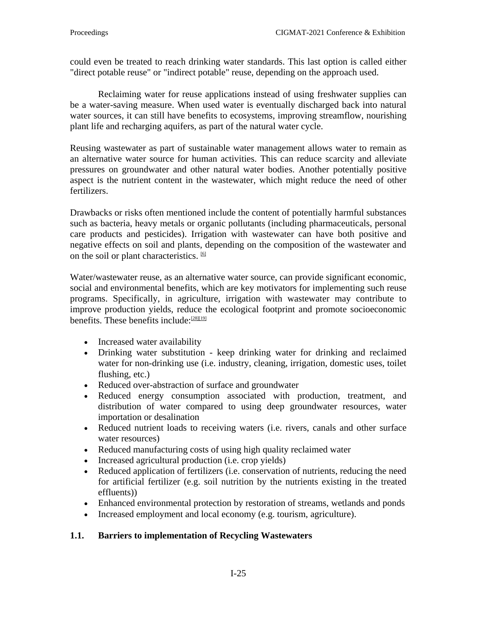could even be treated to reach [drinking water](https://en.wikipedia.org/wiki/Drinking_water) standards. This last option is called either "direct potable reuse" or "indirect potable" reuse, depending on the approach used.

Reclaiming water for reuse applications instead of using [freshwater](https://en.wikipedia.org/wiki/Fresh_water) supplies can be a water-saving measure. When used water is eventually discharged back into natural water sources, it can still have benefits to [ecosystems,](https://en.wikipedia.org/wiki/Ecosystem) improving streamflow, nourishing plant life and recharging [aquifers,](https://en.wikipedia.org/wiki/Aquifer) as part of the natural [water cycle.](https://en.wikipedia.org/wiki/Water_cycle)

Reusing wastewater as part of sustainable [water management](https://en.wikipedia.org/wiki/Water_management) allows water to remain as an alternative water source for human activities. This can reduce [scarcity](https://en.wikipedia.org/wiki/Water_scarcity) and alleviate pressures on groundwater and other natural water bodies. Another potentially positive aspect is the nutrient content in the wastewater, which might reduce the need of other fertilizers.

Drawbacks or risks often mentioned include the content of potentially harmful substances such as bacteria, heavy metals or organic pollutants (including pharmaceuticals, personal care products and pesticides). Irrigation with wastewater can have both positive and negative effects on soil and plants, depending on the composition of the wastewater and on the soil or plant characteristics. [\[6\]](https://en.wikipedia.org/wiki/Reclaimed_water#cite_note-6)

Water/wastewater reuse, as an alternative water source, can provide significant economic, social and environmental benefits, which are key motivators for implementing such reuse programs. Specifically, in agriculture, irrigation with wastewater may contribute to improve production yields, reduce the ecological footprint and promote socioeconomic benefits. These benefits include: $[28][19]$ 

- Increased [water availability](https://en.wikipedia.org/wiki/Water_resources)
- [Drinking water](https://en.wikipedia.org/wiki/Drinking_water) substitution keep drinking water for drinking and reclaimed water for non-drinking use (i.e. industry, cleaning, irrigation, domestic uses, toilet flushing, etc.)
- Reduced over-abstraction of surface and groundwater
- Reduced energy consumption associated with production, treatment, and distribution of water compared to using deep groundwater resources, water importation or desalination
- Reduced nutrient loads to receiving waters (i.e. rivers, canals and other surface [water resources\)](https://en.wikipedia.org/wiki/Water_resources)
- Reduced manufacturing costs of using high quality reclaimed water
- Increased agricultural production (i.e. crop yields)
- Reduced application of fertilizers (i.e. conservation of nutrients, reducing the need for artificial fertilizer (e.g. soil nutrition by the nutrients existing in the treated effluents))
- Enhanced environmental protection by restoration of streams, [wetlands](https://en.wikipedia.org/wiki/Wetlands) and ponds
- Increased employment and local economy (e.g. tourism, agriculture).

# **1.1. Barriers to implementation of Recycling Wastewaters**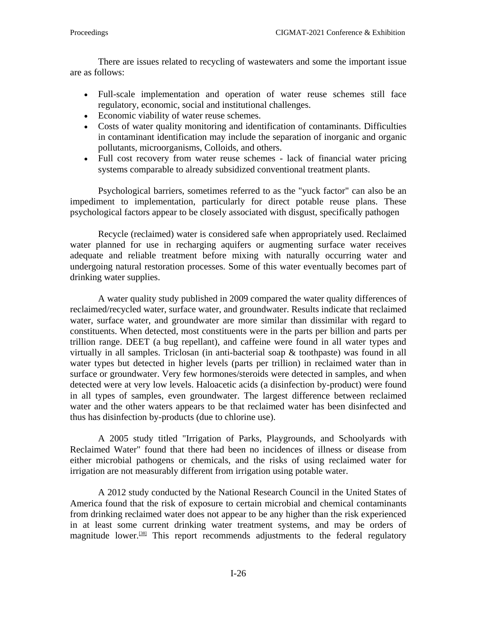There are issues related to recycling of wastewaters and some the important issue are as follows:

- Full-scale implementation and operation of water reuse schemes still face regulatory, economic, social and institutional challenges.
- Economic viability of water reuse schemes.
- Costs of water quality monitoring and identification of contaminants. Difficulties in contaminant identification may include the separation of inorganic and [organic](https://en.wikipedia.org/wiki/Persistent_organic_pollutant)  [pollutants,](https://en.wikipedia.org/wiki/Persistent_organic_pollutant) [microorganisms,](https://en.wikipedia.org/wiki/Microorganism) [Colloids,](https://en.wikipedia.org/wiki/Colloid) and others.
- Full cost recovery from water reuse schemes lack of financial water pricing systems comparable to already subsidized conventional treatment plants.

Psychological barriers, sometimes referred to as the "yuck factor" can also be an impediment to implementation, particularly for direct potable reuse plans. These psychological factors appear to be closely associated with disgust, specifically pathogen

Recycle (reclaimed) water is considered safe when appropriately used. Reclaimed water planned for use in recharging aquifers or augmenting surface water receives adequate and reliable treatment before mixing with naturally occurring water and undergoing natural restoration processes. Some of this water eventually becomes part of drinking water supplies.

A water quality study published in 2009 compared the water quality differences of reclaimed/recycled water, surface water, and groundwater. Results indicate that reclaimed water, surface water, and groundwater are more similar than dissimilar with regard to constituents. When detected, most constituents were in the parts per billion and parts per trillion range. DEET (a bug repellant), and caffeine were found in all water types and virtually in all samples. Triclosan (in anti-bacterial soap & toothpaste) was found in all water types but detected in higher levels (parts per trillion) in reclaimed water than in surface or groundwater. Very few hormones/steroids were detected in samples, and when detected were at very low levels. Haloacetic acids (a disinfection by-product) were found in all types of samples, even groundwater. The largest difference between reclaimed water and the other waters appears to be that reclaimed water has been disinfected and thus has disinfection by-products (due to chlorine use).

A 2005 study titled "Irrigation of Parks, Playgrounds, and Schoolyards with Reclaimed Water" found that there had been no incidences of illness or disease from either microbial pathogens or chemicals, and the risks of using reclaimed water for irrigation are not measurably different from irrigation using potable water.

A 2012 study conducted by the [National Research Council](https://en.wikipedia.org/wiki/National_Research_Council_(United_States)) in the United States of America found that the risk of exposure to certain microbial and chemical contaminants from drinking reclaimed water does not appear to be any higher than the risk experienced in at least some current drinking water treatment systems, and may be orders of magnitude lower.<sup>[\[38\]](https://en.wikipedia.org/wiki/Reclaimed_water#cite_note-38)</sup> This report recommends adjustments to the federal regulatory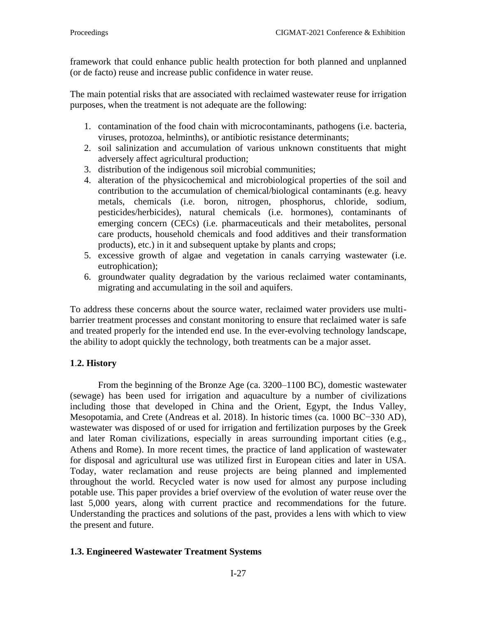framework that could enhance public health protection for both planned and unplanned (or de facto) reuse and increase public confidence in water reuse.

The main potential risks that are associated with reclaimed wastewater reuse for irrigation purposes, when the treatment is not adequate are the following:

- 1. [contamination](https://en.wikipedia.org/wiki/Contamination) of the food chain with microcontaminants, [pathogens](https://en.wikipedia.org/wiki/Pathogens) (i.e. [bacteria,](https://en.wikipedia.org/wiki/Bacteria) [viruses,](https://en.wikipedia.org/wiki/Viruses) [protozoa,](https://en.wikipedia.org/wiki/Protozoa) [helminths\)](https://en.wikipedia.org/wiki/Helminths), or [antibiotic resistance](https://en.wikipedia.org/wiki/Antibiotic_resistance) determinants;
- 2. soil [salinization](https://en.wikipedia.org/wiki/Soil_salinity) and accumulation of various unknown constituents that might adversely affect agricultural production;
- 3. distribution of the indigenous soil [microbial communities;](https://en.wikipedia.org/wiki/Microbial_communities)
- 4. alteration of the [physicochemical](https://en.wikipedia.org/wiki/Physicochemical) and [microbiological](https://en.wikipedia.org/wiki/Microbiological) properties of the soil and contribution to the accumulation of chemical/biological [contaminants](https://en.wikipedia.org/wiki/Contaminants) (e.g. [heavy](https://en.wikipedia.org/wiki/Heavy_metals)  [metals,](https://en.wikipedia.org/wiki/Heavy_metals) chemicals (i.e. [boron,](https://en.wikipedia.org/wiki/Boron) [nitrogen,](https://en.wikipedia.org/wiki/Nitrogen) [phosphorus,](https://en.wikipedia.org/wiki/Phosphorus) [chloride,](https://en.wikipedia.org/wiki/Chloride) [sodium,](https://en.wikipedia.org/wiki/Sodium) [pesticides](https://en.wikipedia.org/wiki/Pesticides)[/herbicides\)](https://en.wikipedia.org/wiki/Herbicides), natural chemicals (i.e. [hormones\)](https://en.wikipedia.org/wiki/Hormones), contaminants of emerging concern (CECs) (i.e. [pharmaceuticals](https://en.wikipedia.org/wiki/Pharmaceuticals) and their [metabolites,](https://en.wikipedia.org/wiki/Metabolites) [personal](https://en.wikipedia.org/wiki/Personal_care_products)  [care products,](https://en.wikipedia.org/wiki/Personal_care_products) [household chemicals](https://en.wikipedia.org/wiki/Household_chemicals) and [food additives](https://en.wikipedia.org/wiki/Food_additive) and their transformation products), etc.) in it and subsequent uptake by plants and crops;
- 5. excessive growth of [algae](https://en.wikipedia.org/wiki/Algae) and vegetation in canals carrying wastewater (i.e. [eutrophication\)](https://en.wikipedia.org/wiki/Eutrophication);
- 6. groundwater quality degradation by the various reclaimed water contaminants, migrating and accumulating in the soil and aquifers.

To address these concerns about the source water, reclaimed water providers use multibarrier treatment processes and constant monitoring to ensure that reclaimed water is safe and treated properly for the intended end use. In the ever-evolving technology landscape, the ability to adopt quickly the technology, both treatments can be a major asset.

# **1**.**2. History**

From the beginning of the Bronze Age (ca. 3200–1100 BC), domestic wastewater (sewage) has been used for irrigation and aquaculture by a number of civilizations including those that developed in China and the Orient, Egypt, the Indus Valley, Mesopotamia, and Crete (Andreas et al. 2018). In historic times (ca. 1000 BC−330 AD), wastewater was disposed of or used for irrigation and fertilization purposes by the Greek and later Roman civilizations, especially in areas surrounding important cities (e.g., Athens and Rome). In more recent times, the practice of land application of wastewater for disposal and agricultural use was utilized first in European cities and later in USA. Today, water reclamation and reuse projects are being planned and implemented throughout the world. Recycled water is now used for almost any purpose including potable use. This paper provides a brief overview of the evolution of water reuse over the last 5,000 years, along with current practice and recommendations for the future. Understanding the practices and solutions of the past, provides a lens with which to view the present and future.

# **1.3. Engineered Wastewater Treatment Systems**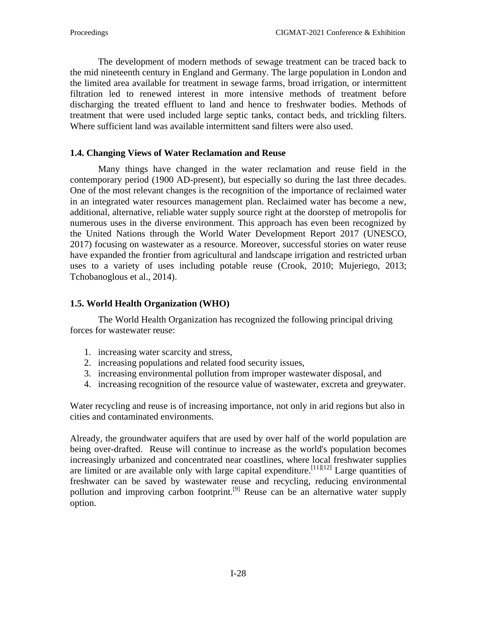The development of modern methods of sewage treatment can be traced back to the mid nineteenth century in England and Germany. The large population in London and the limited area available for treatment in sewage farms, broad irrigation, or intermittent filtration led to renewed interest in more intensive methods of treatment before discharging the treated effluent to land and hence to freshwater bodies. Methods of treatment that were used included large septic tanks, contact beds, and trickling filters. Where sufficient land was available intermittent sand filters were also used.

### **1.4. Changing Views of Water Reclamation and Reuse**

Many things have changed in the water reclamation and reuse field in the contemporary period (1900 AD-present), but especially so during the last three decades. One of the most relevant changes is the recognition of the importance of reclaimed water in an integrated water resources management plan. Reclaimed water has become a new, additional, alternative, reliable water supply source right at the doorstep of metropolis for numerous uses in the diverse environment. This approach has even been recognized by the United Nations through the World Water Development Report 2017 [\(UNESCO,](https://www.frontiersin.org/articles/10.3389/fenvs.2018.00026/full#B84)  [2017\)](https://www.frontiersin.org/articles/10.3389/fenvs.2018.00026/full#B84) focusing on wastewater as a resource. Moreover, successful stories on water reuse have expanded the frontier from agricultural and landscape irrigation and restricted urban uses to a variety of uses including potable reuse [\(Crook, 2010;](https://www.frontiersin.org/articles/10.3389/fenvs.2018.00026/full#B17) [Mujeriego, 2013;](https://www.frontiersin.org/articles/10.3389/fenvs.2018.00026/full#B54) [Tchobanoglous et al., 2014\)](https://www.frontiersin.org/articles/10.3389/fenvs.2018.00026/full#B81).

### **1.5. World Health Organization (WHO)**

The [World Health Organization](https://en.wikipedia.org/wiki/World_Health_Organization) has recognized the following principal driving forces for wastewater reuse:

- 1. increasing [water scarcity](https://en.wikipedia.org/wiki/Water_scarcity) and stress,
- 2. increasing populations and related [food security](https://en.wikipedia.org/wiki/Food_security) issues,
- 3. increasing environmental pollution from improper wastewater disposal, and
- 4. increasing recognition of the resource value of [wastewater,](https://en.wikipedia.org/wiki/Wastewater) [excreta](https://en.wikipedia.org/wiki/Human_waste) and [greywater.](https://en.wikipedia.org/wiki/Greywater)

Water recycling and reuse is of increasing importance, not only in arid regions but also in cities and contaminated environments.

Already, the groundwater [aquifers](https://en.wikipedia.org/wiki/Aquifers) that are used by over half of the world population are being over-drafted. Reuse will continue to increase as the world's population becomes increasingly urbanized and concentrated near coastlines, where local [freshwater](https://en.wikipedia.org/wiki/Freshwater) supplies are limited or are available only with large [capital expenditure.](https://en.wikipedia.org/wiki/Capital_expenditure)<sup>[\[11\]\[12\]](https://en.wikipedia.org/wiki/Reclaimed_water#cite_note-11)</sup> Large quantities of freshwater can be saved by wastewater reuse and recycling, reducing [environmental](https://en.wikipedia.org/wiki/Environmental_pollution)  [pollution](https://en.wikipedia.org/wiki/Environmental_pollution) and improving [carbon footprint.](https://en.wikipedia.org/wiki/Carbon_footprint)<sup>[\[9\]](https://en.wikipedia.org/wiki/Reclaimed_water#cite_note-:0-9)</sup> Reuse can be an alternative [water supply](https://en.wikipedia.org/wiki/Water_supply) option.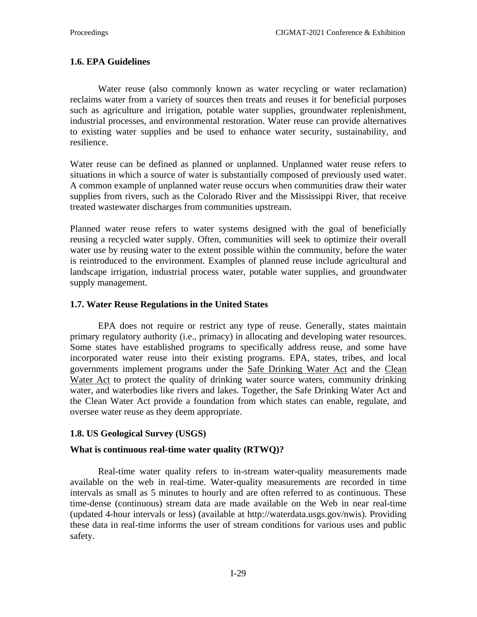# **1.6. EPA Guidelines**

Water reuse (also commonly known as water recycling or water reclamation) reclaims water from a variety of sources then treats and reuses it for beneficial purposes such as agriculture and irrigation, potable water supplies, groundwater replenishment, industrial processes, and environmental restoration. Water reuse can provide alternatives to existing water supplies and be used to enhance water security, sustainability, and resilience.

Water reuse can be defined as planned or unplanned. Unplanned water reuse refers to situations in which a source of water is substantially composed of previously used water. A common example of unplanned water reuse occurs when communities draw their water supplies from rivers, such as the Colorado River and the Mississippi River, that receive treated wastewater discharges from communities upstream.

Planned water reuse refers to water systems designed with the goal of beneficially reusing a recycled water supply. Often, communities will seek to optimize their overall water use by reusing water to the extent possible within the community, before the water is reintroduced to the environment. Examples of planned reuse include agricultural and landscape irrigation, industrial process water, potable water supplies, and groundwater supply management.

### **1.7. Water Reuse Regulations in the United States**

EPA does not require or restrict any type of reuse. Generally, states maintain primary regulatory authority (i.e., primacy) in allocating and developing water resources. Some states have established programs to specifically address reuse, and some have incorporated water reuse into their existing programs. EPA, states, tribes, and local governments implement programs under the [Safe Drinking Water Act](https://www.epa.gov/sdwa) and the [Clean](https://www.epa.gov/laws-regulations/summary-clean-water-act)  [Water Act](https://www.epa.gov/laws-regulations/summary-clean-water-act) to protect the quality of drinking water source waters, community drinking water, and waterbodies like rivers and lakes. Together, the Safe Drinking Water Act and the Clean Water Act provide a foundation from which states can enable, regulate, and oversee water reuse as they deem appropriate.

# **1.8. US Geological Survey (USGS)**

# **What is continuous real-time water quality (RTWQ)?**

Real-time water quality refers to in-stream water-quality measurements made available on the web in real-time. Water-quality measurements are recorded in time intervals as small as 5 minutes to hourly and are often referred to as continuous. These time-dense (continuous) stream data are made available on the Web in near real-time (updated 4-hour intervals or less) (available at [http://waterdata.usgs.gov/nwis\)](http://waterdata.usgs.gov/nwis). Providing these data in real-time informs the user of stream conditions for various uses and public safety.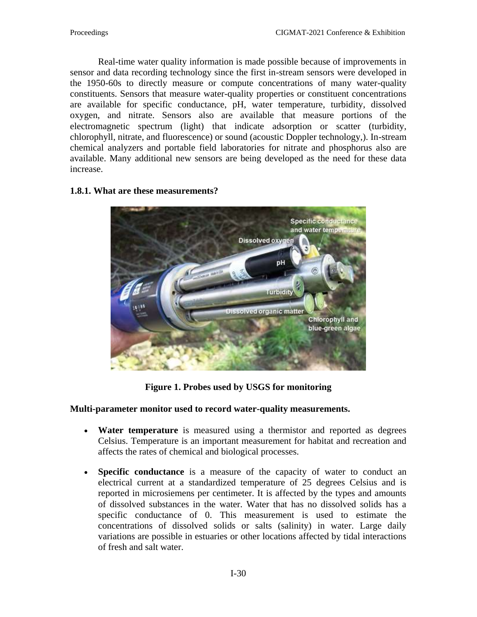Real-time water quality information is made possible because of improvements in sensor and data recording technology since the first in-stream sensors were developed in the 1950-60s to directly measure or compute concentrations of many water-quality constituents. Sensors that measure water-quality properties or constituent concentrations are available for specific conductance, pH, water temperature, turbidity, dissolved oxygen, and nitrate. Sensors also are available that measure portions of the electromagnetic spectrum (light) that indicate adsorption or scatter (turbidity, chlorophyll, nitrate, and fluorescence) or sound (acoustic Doppler technology,). In-stream chemical analyzers and portable field laboratories for nitrate and phosphorus also are available. Many additional new sensors are being developed as the need for these data increase.



### **1.8.1. What are these measurements?**

**Figure 1. Probes used by USGS for monitoring**

# **Multi-parameter monitor used to record water-quality measurements.**

- **Water temperature** is measured using a thermistor and reported as degrees Celsius. Temperature is an important measurement for habitat and recreation and affects the rates of chemical and biological processes.
- **Specific conductance** is a measure of the capacity of water to conduct an electrical current at a standardized temperature of 25 degrees Celsius and is reported in microsiemens per centimeter. It is affected by the types and amounts of dissolved substances in the water. Water that has no dissolved solids has a specific conductance of 0. This measurement is used to estimate the concentrations of dissolved solids or salts (salinity) in water. Large daily variations are possible in estuaries or other locations affected by tidal interactions of fresh and salt water.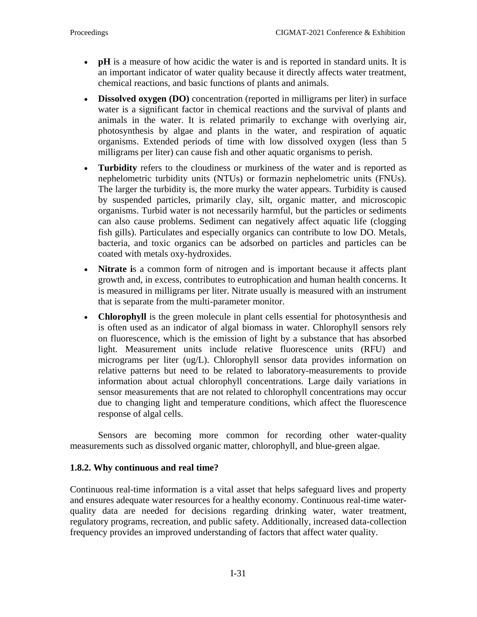- **pH** is a measure of how acidic the water is and is reported in standard units. It is an important indicator of water quality because it directly affects water treatment, chemical reactions, and basic functions of plants and animals.
- **Dissolved oxygen (DO)** concentration (reported in milligrams per liter) in surface water is a significant factor in chemical reactions and the survival of plants and animals in the water. It is related primarily to exchange with overlying air, photosynthesis by algae and plants in the water, and respiration of aquatic organisms. Extended periods of time with low dissolved oxygen (less than 5 milligrams per liter) can cause fish and other aquatic organisms to perish.
- **Turbidity** refers to the cloudiness or murkiness of the water and is reported as nephelometric turbidity units (NTUs) or formazin nephelometric units (FNUs). The larger the turbidity is, the more murky the water appears. Turbidity is caused by suspended particles, primarily clay, silt, organic matter, and microscopic organisms. Turbid water is not necessarily harmful, but the particles or sediments can also cause problems. Sediment can negatively affect aquatic life (clogging fish gills). Particulates and especially organics can contribute to low DO. Metals, bacteria, and toxic organics can be adsorbed on particles and particles can be coated with metals oxy-hydroxides.
- **Nitrate i**s a common form of nitrogen and is important because it affects plant growth and, in excess, contributes to eutrophication and human health concerns. It is measured in milligrams per liter. Nitrate usually is measured with an instrument that is separate from the multi-parameter monitor.
- **Chlorophyll** is the green molecule in plant cells essential for photosynthesis and is often used as an indicator of algal biomass in water. Chlorophyll sensors rely on fluorescence, which is the emission of light by a substance that has absorbed light. Measurement units include relative fluorescence units (RFU) and micrograms per liter (ug/L). Chlorophyll sensor data provides information on relative patterns but need to be related to laboratory-measurements to provide information about actual chlorophyll concentrations. Large daily variations in sensor measurements that are not related to chlorophyll concentrations may occur due to changing light and temperature conditions, which affect the fluorescence response of algal cells.

Sensors are becoming more common for recording other water-quality measurements such as dissolved organic matter, chlorophyll, and blue-green algae.

# **1.8.2. Why continuous and real time?**

Continuous real-time information is a vital asset that helps safeguard lives and property and ensures adequate water resources for a healthy economy. Continuous real-time waterquality data are needed for decisions regarding drinking water, water treatment, regulatory programs, recreation, and public safety. Additionally, increased data-collection frequency provides an improved understanding of factors that affect water quality.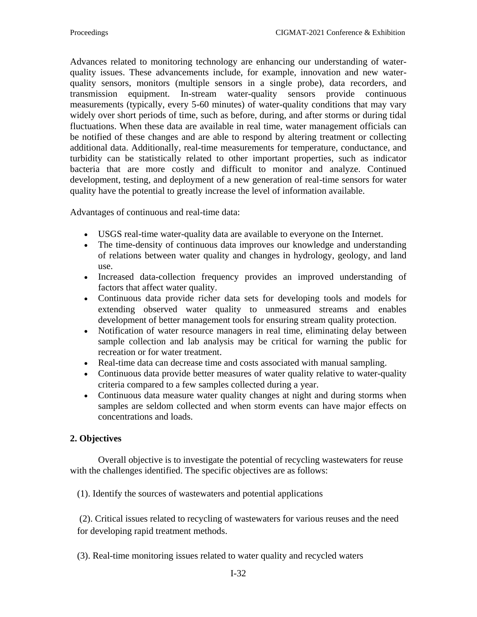Advances related to monitoring technology are enhancing our understanding of waterquality issues. These advancements include, for example, innovation and new waterquality sensors, monitors (multiple sensors in a single probe), data recorders, and transmission equipment. In-stream water-quality sensors provide continuous measurements (typically, every 5-60 minutes) of water-quality conditions that may vary widely over short periods of time, such as before, during, and after storms or during tidal fluctuations. When these data are available in real time, water management officials can be notified of these changes and are able to respond by altering treatment or collecting additional data. Additionally, real-time measurements for temperature, conductance, and turbidity can be statistically related to other important properties, such as indicator bacteria that are more costly and difficult to monitor and analyze. Continued development, testing, and deployment of a new generation of real-time sensors for water quality have the potential to greatly increase the level of information available.

Advantages of continuous and real-time data:

- USGS real-time water-quality data are available to everyone on the Internet.
- The time-density of continuous data improves our knowledge and understanding of relations between water quality and changes in hydrology, geology, and land use.
- Increased data-collection frequency provides an improved understanding of factors that affect water quality.
- Continuous data provide richer data sets for developing tools and models for extending observed water quality to unmeasured streams and enables development of better management tools for ensuring stream quality protection.
- Notification of water resource managers in real time, eliminating delay between sample collection and lab analysis may be critical for warning the public for recreation or for water treatment.
- Real-time data can decrease time and costs associated with manual sampling.
- Continuous data provide better measures of water quality relative to water-quality criteria compared to a few samples collected during a year.
- Continuous data measure water quality changes at night and during storms when samples are seldom collected and when storm events can have major effects on concentrations and loads.

# **2. Objectives**

Overall objective is to investigate the potential of recycling wastewaters for reuse with the challenges identified. The specific objectives are as follows:

(1). Identify the sources of wastewaters and potential applications

(2). Critical issues related to recycling of wastewaters for various reuses and the need for developing rapid treatment methods.

(3). Real-time monitoring issues related to water quality and recycled waters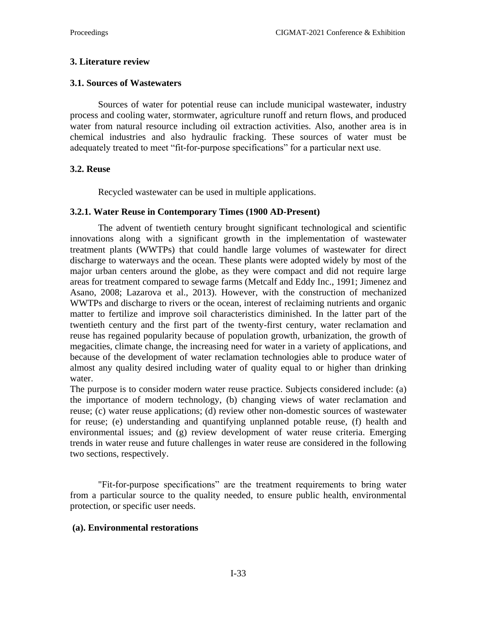### **3. Literature review**

### **3.1. Sources of Wastewaters**

Sources of water for potential reuse can include municipal wastewater, industry process and cooling water, stormwater, agriculture runoff and return flows, and produced water from natural resource including oil extraction activities. Also, another area is in chemical industries and also hydraulic fracking. These sources of water must be adequately treated to meet "fit-for-purpose specifications" for a particular next use.

### **3.2. Reuse**

Recycled wastewater can be used in multiple applications.

### **3.2.1. Water Reuse in Contemporary Times (1900 AD-Present)**

The advent of twentieth century brought significant technological and scientific innovations along with a significant growth in the implementation of wastewater treatment plants (WWTPs) that could handle large volumes of wastewater for direct discharge to waterways and the ocean. These plants were adopted widely by most of the major urban centers around the globe, as they were compact and did not require large areas for treatment compared to sewage farms [\(Metcalf and Eddy Inc., 1991;](https://www.frontiersin.org/articles/10.3389/fenvs.2018.00026/full#B51) [Jimenez and](https://www.frontiersin.org/articles/10.3389/fenvs.2018.00026/full#B36)  [Asano, 2008;](https://www.frontiersin.org/articles/10.3389/fenvs.2018.00026/full#B36) [Lazarova et al., 2013\)](https://www.frontiersin.org/articles/10.3389/fenvs.2018.00026/full#B47). However, with the construction of mechanized WWTPs and discharge to rivers or the ocean, interest of reclaiming nutrients and organic matter to fertilize and improve soil characteristics diminished. In the latter part of the twentieth century and the first part of the twenty-first century, water reclamation and reuse has regained popularity because of population growth, urbanization, the growth of megacities, climate change, the increasing need for water in a variety of applications, and because of the development of water reclamation technologies able to produce water of almost any quality desired including water of quality equal to or higher than drinking water.

The purpose is to consider modern water reuse practice. Subjects considered include: (a) the importance of modern technology, (b) changing views of water reclamation and reuse; (c) water reuse applications; (d) review other non-domestic sources of wastewater for reuse; (e) understanding and quantifying unplanned potable reuse, (f) health and environmental issues; and (g) review development of water reuse criteria. Emerging trends in water reuse and future challenges in water reuse are considered in the following two sections, respectively.

"Fit-for-purpose specifications" are the treatment requirements to bring water from a particular source to the quality needed, to ensure public health, environmental protection, or specific user needs.

### **(a). Environmental restorations**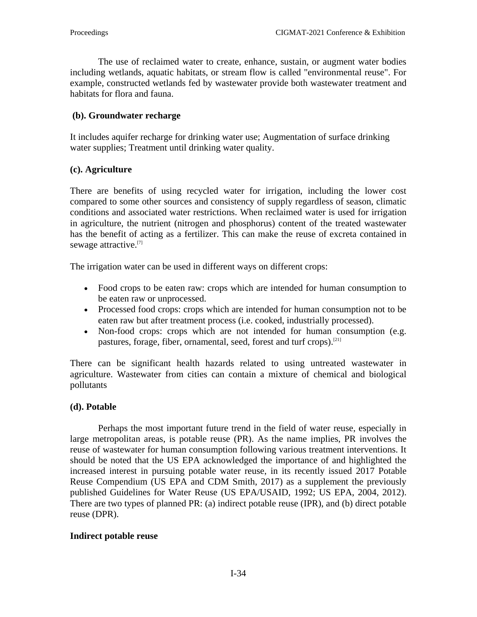The use of reclaimed water to create, enhance, sustain, or augment water bodies including [wetlands,](https://en.wikipedia.org/wiki/Wetland) aquatic habitats, or stream flow is called "environmental reuse". For example, [constructed wetlands](https://en.wikipedia.org/wiki/Constructed_wetland) fed by wastewater provide both [wastewater treatment](https://en.wikipedia.org/wiki/Wastewater_treatment) and [habitats](https://en.wikipedia.org/wiki/Habitat) for flora and fauna.

# **(b). Groundwater recharge**

It includes aquifer recharge for [drinking water](https://en.wikipedia.org/wiki/Drinking_water) use; Augmentation of surface drinking water supplies; Treatment until drinking water quality.

# **(c). Agriculture**

There are benefits of using recycled water for irrigation, including the lower cost compared to some other sources and consistency of supply regardless of season, climatic conditions and associated water restrictions. When reclaimed water is used for irrigation in agriculture, the nutrient (nitrogen and phosphorus) content of the treated wastewater has the benefit of acting as a [fertilizer.](https://en.wikipedia.org/wiki/Fertilizer) This can make the [reuse of excreta](https://en.wikipedia.org/wiki/Reuse_of_excreta) contained in sewage attractive.<sup>[\[7\]](https://en.wikipedia.org/wiki/Reclaimed_water#cite_note-WHO2006-7)</sup>

The irrigation water can be used in different ways on different crops:

- [Food crops](https://en.wikipedia.org/wiki/Food_crops) to be eaten raw: crops which are intended for human consumption to be eaten raw or unprocessed.
- [Processed food](https://en.wikipedia.org/wiki/Processed_food) crops: crops which are intended for human consumption not to be eaten raw but after treatment process (i.e. cooked, industrially processed).
- Non-food crops: crops which are not intended for human consumption (e.g. pastures, forage, fiber, ornamental, seed, forest and turf crops).<sup>[\[21\]](https://en.wikipedia.org/wiki/Reclaimed_water#cite_note-21)</sup>

There can be significant health hazards related to using untreated wastewater in agriculture. Wastewater from cities can contain a mixture of chemical and biological pollutants

# **(d). Potable**

Perhaps the most important future trend in the field of water reuse, especially in large metropolitan areas, is potable reuse (PR). As the name implies, PR involves the reuse of wastewater for human consumption following various treatment interventions. It should be noted that the US EPA acknowledged the importance of and highlighted the increased interest in pursuing potable water reuse, in its recently issued 2017 Potable Reuse Compendium [\(US EPA and CDM Smith, 2017\)](https://www.frontiersin.org/articles/10.3389/fenvs.2018.00026/full#B89) as a supplement the previously published Guidelines for Water Reuse [\(US EPA/USAID, 1992;](https://www.frontiersin.org/articles/10.3389/fenvs.2018.00026/full#B90) [US EPA, 2004,](https://www.frontiersin.org/articles/10.3389/fenvs.2018.00026/full#B87) [2012\)](https://www.frontiersin.org/articles/10.3389/fenvs.2018.00026/full#B88). There are two types of planned PR: (a) indirect potable reuse (IPR), and (b) direct potable reuse (DPR).

# **Indirect potable reuse**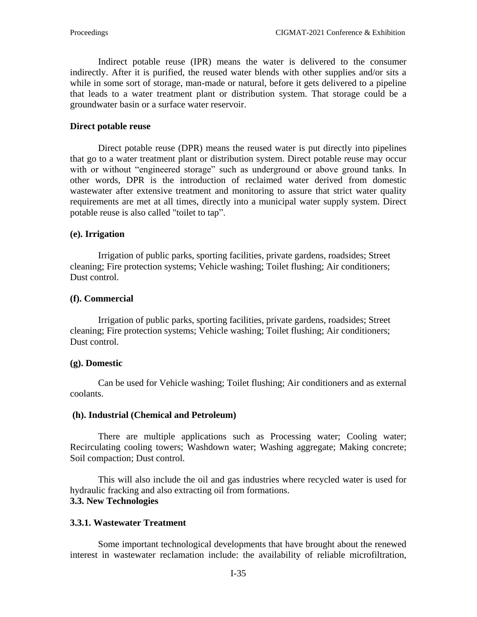Indirect potable reuse (IPR) means the water is delivered to the consumer indirectly. After it is purified, the reused water blends with other supplies and/or sits a while in some sort of storage, man-made or natural, before it gets delivered to a pipeline that leads to a water treatment plant or distribution system. That storage could be a [groundwater](https://en.wikipedia.org/wiki/Groundwater) basin or a surface water reservoir.

#### **Direct potable reuse**

Direct potable reuse (DPR) means the reused water is put directly into pipelines that go to a water treatment plant or distribution system. Direct potable reuse may occur with or without "engineered storage" such as underground or above ground tanks. In other words, DPR is the introduction of reclaimed water derived from domestic wastewater after extensive treatment and monitoring to assure that strict water quality requirements are met at all times, directly into a municipal water supply system. Direct potable reuse is also called "toilet to tap".

#### **(e). Irrigation**

Irrigation of [public parks,](https://en.wikipedia.org/wiki/Public_parks) sporting facilities, private gardens, [roadsides;](https://en.wikipedia.org/wiki/Shoulder_(road)) Street cleaning; Fire protection systems; Vehicle washing; Toilet flushing; Air conditioners; Dust control.

#### **(f). Commercial**

Irrigation of [public parks,](https://en.wikipedia.org/wiki/Public_parks) sporting facilities, private gardens, [roadsides;](https://en.wikipedia.org/wiki/Shoulder_(road)) Street cleaning; Fire protection systems; Vehicle washing; Toilet flushing; Air conditioners; Dust control.

#### **(g). Domestic**

Can be used for Vehicle washing; Toilet flushing; Air conditioners and as external coolants.

#### **(h). Industrial (Chemical and Petroleum)**

There are multiple applications such as Processing water; [Cooling water;](https://en.wikipedia.org/wiki/Cooling_water) Recirculating [cooling towers;](https://en.wikipedia.org/wiki/Cooling_towers) [Washdown](https://en.wikipedia.org/wiki/Washdown) water; Washing aggregate; Making [concrete;](https://en.wikipedia.org/wiki/Concrete) [Soil compaction;](https://en.wikipedia.org/wiki/Soil_compaction) [Dust control.](https://en.wikipedia.org/wiki/Dust_control)

This will also include the oil and gas industries where recycled water is used for hydraulic fracking and also extracting oil from formations. **3.3. New Technologies**

### **3.3.1. Wastewater Treatment**

Some important technological developments that have brought about the renewed interest in wastewater reclamation include: the availability of reliable microfiltration,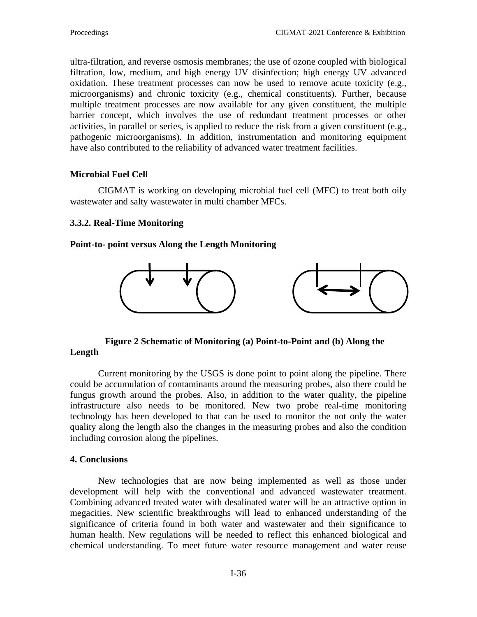ultra-filtration, and reverse osmosis membranes; the use of ozone coupled with biological filtration, low, medium, and high energy UV disinfection; high energy UV advanced oxidation. These treatment processes can now be used to remove acute toxicity (e.g., microorganisms) and chronic toxicity (e.g., chemical constituents). Further, because multiple treatment processes are now available for any given constituent, the multiple barrier concept, which involves the use of redundant treatment processes or other activities, in parallel or series, is applied to reduce the risk from a given constituent (e.g., pathogenic microorganisms). In addition, instrumentation and monitoring equipment have also contributed to the reliability of advanced water treatment facilities.

# **Microbial Fuel Cell**

CIGMAT is working on developing microbial fuel cell (MFC) to treat both oily wastewater and salty wastewater in multi chamber MFCs.

### **3.3.2. Real-Time Monitoring**

### **Point-to- point versus Along the Length Monitoring**



 **Figure 2 Schematic of Monitoring (a) Point-to-Point and (b) Along the Length**

Current monitoring by the USGS is done point to point along the pipeline. There could be accumulation of contaminants around the measuring probes, also there could be fungus growth around the probes. Also, in addition to the water quality, the pipeline infrastructure also needs to be monitored. New two probe real-time monitoring technology has been developed to that can be used to monitor the not only the water quality along the length also the changes in the measuring probes and also the condition including corrosion along the pipelines.

### **4. Conclusions**

New technologies that are now being implemented as well as those under development will help with the conventional and advanced wastewater treatment. Combining advanced treated water with desalinated water will be an attractive option in megacities. New scientific breakthroughs will lead to enhanced understanding of the significance of criteria found in both water and wastewater and their significance to human health. New regulations will be needed to reflect this enhanced biological and chemical understanding. To meet future water resource management and water reuse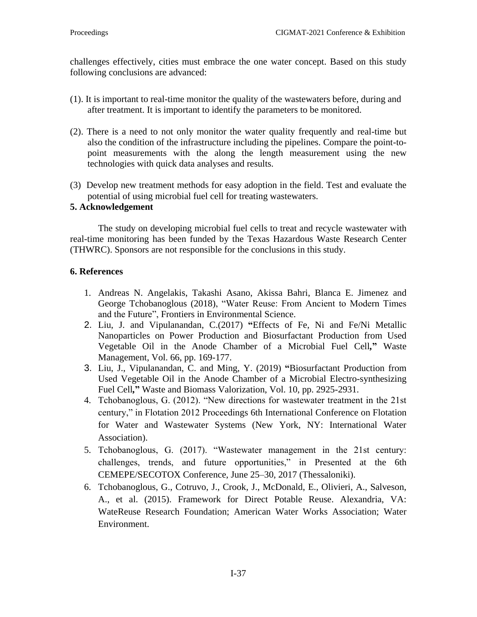challenges effectively, cities must embrace the one water concept. Based on this study following conclusions are advanced:

- (1). It is important to real-time monitor the quality of the wastewaters before, during and after treatment. It is important to identify the parameters to be monitored.
- (2). There is a need to not only monitor the water quality frequently and real-time but also the condition of the infrastructure including the pipelines. Compare the point-topoint measurements with the along the length measurement using the new technologies with quick data analyses and results.
- (3) Develop new treatment methods for easy adoption in the field. Test and evaluate the potential of using microbial fuel cell for treating wastewaters.

### **5. Acknowledgement**

The study on developing microbial fuel cells to treat and recycle wastewater with real-time monitoring has been funded by the Texas Hazardous Waste Research Center (THWRC). Sponsors are not responsible for the conclusions in this study.

### **6. References**

- 1. [Andreas N. Angelakis,](http://www.frontiersin.org/people/u/531203) [Takashi Asano,](http://www.frontiersin.org/people/u/534875) Akissa Bahri, Blanca E. Jimenez and [George Tchobanoglous](http://www.frontiersin.org/people/u/534846) (2018), "Water Reuse: From Ancient to Modern Times and the Future", Frontiers in Environmental Science.
- 2. Liu, J. and Vipulanandan, C.(2017) **"**Effects of Fe, Ni and Fe/Ni Metallic Nanoparticles on Power Production and Biosurfactant Production from Used Vegetable Oil in the Anode Chamber of a Microbial Fuel Cell*,***"** Waste Management, Vol. 66, pp. 169-177.
- 3. Liu, J., Vipulanandan, C. and Ming, Y. (2019) **"**Biosurfactant Production from Used Vegetable Oil in the Anode Chamber of a Microbial Electro-synthesizing Fuel Cell*,***"** Waste and Biomass Valorization, Vol. 10, pp. 2925-2931.
- 4. Tchobanoglous, G. (2012). "New directions for wastewater treatment in the 21st century," in Flotation 2012 Proceedings 6th International Conference on Flotation for Water and Wastewater Systems (New York, NY: International Water Association).
- 5. Tchobanoglous, G. (2017). "Wastewater management in the 21st century: challenges, trends, and future opportunities," in Presented at the 6th CEMEPE/SECOTOX Conference, June 25–30, 2017 (Thessaloniki).
- 6. Tchobanoglous, G., Cotruvo, J., Crook, J., McDonald, E., Olivieri, A., Salveson, A., et al. (2015). Framework for Direct Potable Reuse. Alexandria, VA: WateReuse Research Foundation; American Water Works Association; Water Environment.